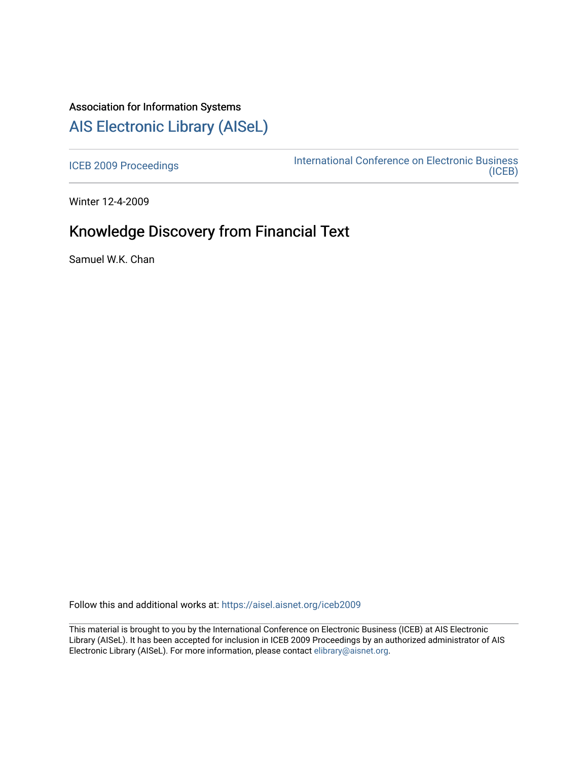# Association for Information Systems [AIS Electronic Library \(AISeL\)](https://aisel.aisnet.org/)

[ICEB 2009 Proceedings](https://aisel.aisnet.org/iceb2009) **International Conference on Electronic Business** [\(ICEB\)](https://aisel.aisnet.org/iceb) 

Winter 12-4-2009

# Knowledge Discovery from Financial Text

Samuel W.K. Chan

Follow this and additional works at: [https://aisel.aisnet.org/iceb2009](https://aisel.aisnet.org/iceb2009?utm_source=aisel.aisnet.org%2Ficeb2009%2F33&utm_medium=PDF&utm_campaign=PDFCoverPages)

This material is brought to you by the International Conference on Electronic Business (ICEB) at AIS Electronic Library (AISeL). It has been accepted for inclusion in ICEB 2009 Proceedings by an authorized administrator of AIS Electronic Library (AISeL). For more information, please contact [elibrary@aisnet.org.](mailto:elibrary@aisnet.org%3E)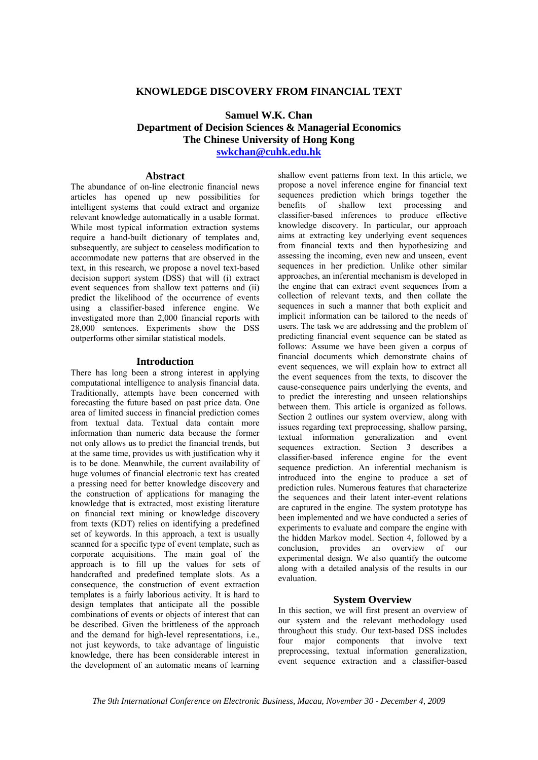### **KNOWLEDGE DISCOVERY FROM FINANCIAL TEXT**

# **Samuel W.K. Chan Department of Decision Sciences & Managerial Economics The Chinese University of Hong Kong swkchan@cuhk.edu.hk**

## **Abstract**

The abundance of on-line electronic financial news articles has opened up new possibilities for intelligent systems that could extract and organize relevant knowledge automatically in a usable format. While most typical information extraction systems require a hand-built dictionary of templates and, subsequently, are subject to ceaseless modification to accommodate new patterns that are observed in the text, in this research, we propose a novel text-based decision support system (DSS) that will (i) extract event sequences from shallow text patterns and (ii) predict the likelihood of the occurrence of events using a classifier-based inference engine. We investigated more than 2,000 financial reports with 28,000 sentences. Experiments show the DSS outperforms other similar statistical models.

#### **Introduction**

There has long been a strong interest in applying computational intelligence to analysis financial data. Traditionally, attempts have been concerned with forecasting the future based on past price data. One area of limited success in financial prediction comes from textual data. Textual data contain more information than numeric data because the former not only allows us to predict the financial trends, but at the same time, provides us with justification why it is to be done. Meanwhile, the current availability of huge volumes of financial electronic text has created a pressing need for better knowledge discovery and the construction of applications for managing the knowledge that is extracted, most existing literature on financial text mining or knowledge discovery from texts (KDT) relies on identifying a predefined set of keywords. In this approach, a text is usually scanned for a specific type of event template, such as corporate acquisitions. The main goal of the approach is to fill up the values for sets of handcrafted and predefined template slots. As a consequence, the construction of event extraction templates is a fairly laborious activity. It is hard to design templates that anticipate all the possible combinations of events or objects of interest that can be described. Given the brittleness of the approach and the demand for high-level representations, i.e., not just keywords, to take advantage of linguistic knowledge, there has been considerable interest in the development of an automatic means of learning

shallow event patterns from text. In this article, we propose a novel inference engine for financial text sequences prediction which brings together the benefits of shallow text processing and classifier-based inferences to produce effective knowledge discovery. In particular, our approach aims at extracting key underlying event sequences from financial texts and then hypothesizing and assessing the incoming, even new and unseen, event sequences in her prediction. Unlike other similar approaches, an inferential mechanism is developed in the engine that can extract event sequences from a collection of relevant texts, and then collate the sequences in such a manner that both explicit and implicit information can be tailored to the needs of users. The task we are addressing and the problem of predicting financial event sequence can be stated as follows: Assume we have been given a corpus of financial documents which demonstrate chains of event sequences, we will explain how to extract all the event sequences from the texts, to discover the cause-consequence pairs underlying the events, and to predict the interesting and unseen relationships between them. This article is organized as follows. Section 2 outlines our system overview, along with issues regarding text preprocessing, shallow parsing, textual information generalization and event sequences extraction. Section 3 describes a classifier-based inference engine for the event sequence prediction. An inferential mechanism is introduced into the engine to produce a set of prediction rules. Numerous features that characterize the sequences and their latent inter-event relations are captured in the engine. The system prototype has been implemented and we have conducted a series of experiments to evaluate and compare the engine with the hidden Markov model. Section 4, followed by a conclusion, provides an overview of our experimental design. We also quantify the outcome along with a detailed analysis of the results in our evaluation.

### **System Overview**

In this section, we will first present an overview of our system and the relevant methodology used throughout this study. Our text-based DSS includes four major components that involve text preprocessing, textual information generalization, event sequence extraction and a classifier-based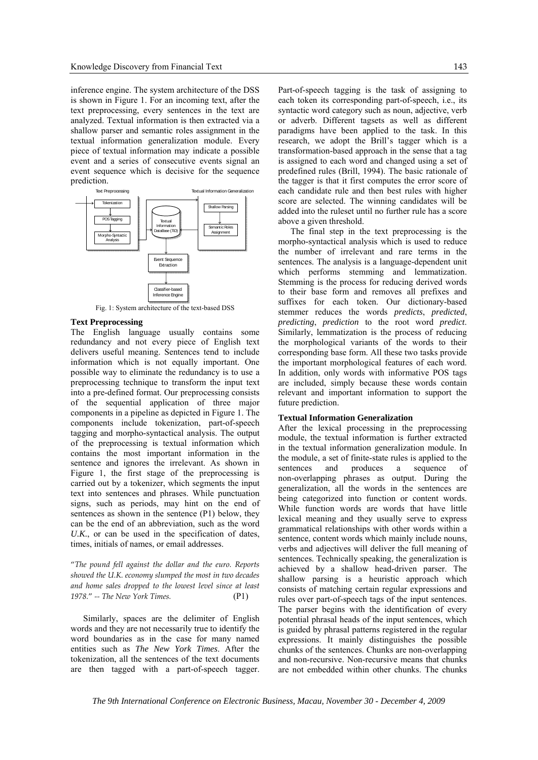inference engine. The system architecture of the DSS is shown in Figure 1. For an incoming text, after the text preprocessing, every sentences in the text are analyzed. Textual information is then extracted via a shallow parser and semantic roles assignment in the textual information generalization module. Every piece of textual information may indicate a possible event and a series of consecutive events signal an event sequence which is decisive for the sequence prediction.



Fig. 1: System architecture of the text-based DSS

#### **Text Preprocessing**

The English language usually contains some redundancy and not every piece of English text delivers useful meaning. Sentences tend to include information which is not equally important. One possible way to eliminate the redundancy is to use a preprocessing technique to transform the input text into a pre-defined format. Our preprocessing consists of the sequential application of three major components in a pipeline as depicted in Figure 1. The components include tokenization, part-of-speech tagging and morpho-syntactical analysis. The output of the preprocessing is textual information which contains the most important information in the sentence and ignores the irrelevant. As shown in Figure 1, the first stage of the preprocessing is carried out by a tokenizer, which segments the input text into sentences and phrases. While punctuation signs, such as periods, may hint on the end of sentences as shown in the sentence (P1) below, they can be the end of an abbreviation, such as the word *U.K.*, or can be used in the specification of dates, times, initials of names, or email addresses.

"*The pound fell against the dollar and the euro. Reports showed the U.K. economy slumped the most in two decades and home sales dropped to the lowest level since at least 1978.*" *‐‐ The New York Times.*  (P1)

Similarly, spaces are the delimiter of English words and they are not necessarily true to identify the word boundaries as in the case for many named entities such as *The New York Times*. After the tokenization, all the sentences of the text documents are then tagged with a part-of-speech tagger. Part-of-speech tagging is the task of assigning to each token its corresponding part-of-speech, i.e., its syntactic word category such as noun, adjective, verb or adverb. Different tagsets as well as different paradigms have been applied to the task. In this research, we adopt the Brill's tagger which is a transformation-based approach in the sense that a tag is assigned to each word and changed using a set of predefined rules (Brill, 1994). The basic rationale of the tagger is that it first computes the error score of each candidate rule and then best rules with higher score are selected. The winning candidates will be added into the ruleset until no further rule has a score above a given threshold.

The final step in the text preprocessing is the morpho-syntactical analysis which is used to reduce the number of irrelevant and rare terms in the sentences. The analysis is a language-dependent unit which performs stemming and lemmatization. Stemming is the process for reducing derived words to their base form and removes all prefixes and suffixes for each token. Our dictionary-based stemmer reduces the words *predicts*, *predicted*, *predicting*, *prediction* to the root word *predict*. Similarly, lemmatization is the process of reducing the morphological variants of the words to their corresponding base form. All these two tasks provide the important morphological features of each word. In addition, only words with informative POS tags are included, simply because these words contain relevant and important information to support the future prediction.

#### **Textual Information Generalization**

After the lexical processing in the preprocessing module, the textual information is further extracted in the textual information generalization module. In the module, a set of finite-state rules is applied to the sentences and produces a sequence of non-overlapping phrases as output. During the generalization, all the words in the sentences are being categorized into function or content words. While function words are words that have little lexical meaning and they usually serve to express grammatical relationships with other words within a sentence, content words which mainly include nouns, verbs and adjectives will deliver the full meaning of sentences. Technically speaking, the generalization is achieved by a shallow head-driven parser. The shallow parsing is a heuristic approach which consists of matching certain regular expressions and rules over part-of-speech tags of the input sentences. The parser begins with the identification of every potential phrasal heads of the input sentences, which is guided by phrasal patterns registered in the regular expressions. It mainly distinguishes the possible chunks of the sentences. Chunks are non-overlapping and non-recursive. Non-recursive means that chunks are not embedded within other chunks. The chunks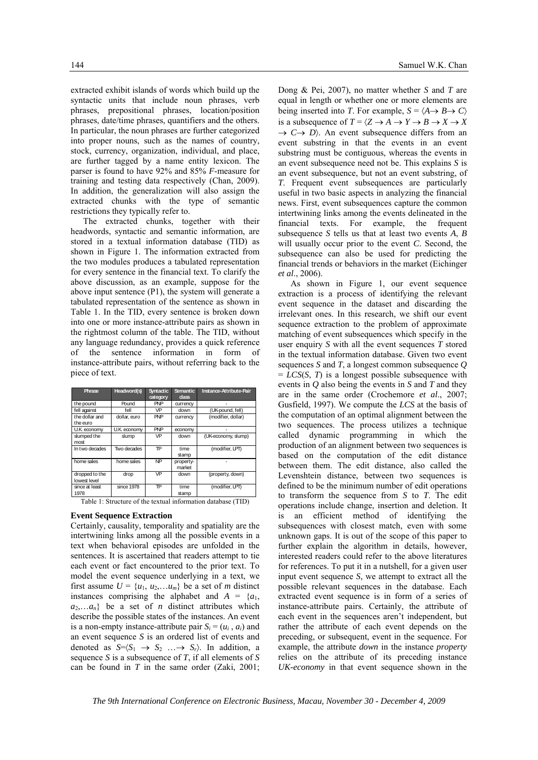extracted exhibit islands of words which build up the syntactic units that include noun phrases, verb phrases, prepositional phrases, location/position phrases, date/time phrases, quantifiers and the others. In particular, the noun phrases are further categorized into proper nouns, such as the names of country, stock, currency, organization, individual, and place, are further tagged by a name entity lexicon. The parser is found to have 92% and 85% *F*-measure for training and testing data respectively (Chan, 2009). In addition, the generalization will also assign the extracted chunks with the type of semantic restrictions they typically refer to.

The extracted chunks, together with their headwords, syntactic and semantic information, are stored in a textual information database (TID) as shown in Figure 1. The information extracted from the two modules produces a tabulated representation for every sentence in the financial text. To clarify the above discussion, as an example, suppose for the above input sentence (P1), the system will generate a tabulated representation of the sentence as shown in Table 1. In the TID, every sentence is broken down into one or more instance-attribute pairs as shown in the rightmost column of the table. The TID, without any language redundancy, provides a quick reference of the sentence information in form of instance-attribute pairs, without referring back to the piece of text.

| Phrase                         | Headword(s)  | <b>Syntactic</b><br>category | <b>Semantic</b><br><b>dass</b> | Instance-Attribute-Pair |  |
|--------------------------------|--------------|------------------------------|--------------------------------|-------------------------|--|
| the pound                      | Pound        | <b>PNP</b>                   | currency                       |                         |  |
| fell against                   | fell         | <b>VP</b>                    | down                           | (UK-pound, fell)        |  |
| the dollar and<br>the euro     | dollar, euro | <b>PNP</b>                   | currency                       | (modifier, dollar)      |  |
| U.K. economy                   | U.K. economy | <b>PNP</b>                   | economy                        |                         |  |
| slumped the<br>most            | slump        | <b>VP</b>                    | down                           | (UK-economy, slump)     |  |
| In two decades                 | Two decades  | TP                           | time<br>stamp                  | (modifier, LPT)         |  |
| home sales                     | home sales   | <b>NP</b>                    | property-<br>market            |                         |  |
| dropped to the<br>lowest level | drop         | VP                           | down                           | (property, down)        |  |
| since at least<br>1978         | since 1978   | ΤP                           | time<br>stamp                  | (modifier, LPT)         |  |

Table 1: Structure of the textual information database (TID)

#### **Event Sequence Extraction**

Certainly, causality, temporality and spatiality are the intertwining links among all the possible events in a text when behavioral episodes are unfolded in the sentences. It is ascertained that readers attempt to tie each event or fact encountered to the prior text. To model the event sequence underlying in a text, we first assume  $U = \{u_1, u_2, \ldots, u_m\}$  be a set of *m* distinct instances comprising the alphabet and  $A = \{a_1, a_2, \ldots, a_n\}$  $a_2,...a_n$ } be a set of *n* distinct attributes which describe the possible states of the instances. An event is a non-empty instance-attribute pair  $S_i = (u_i, a_i)$  and an event sequence *S* is an ordered list of events and denoted as  $S=\langle S_1 \rightarrow S_2 \ldots \rightarrow S_r \rangle$ . In addition, a sequence *S* is a subsequence of *T*, if all elements of *S* can be found in *T* in the same order (Zaki, 2001; Dong & Pei, 2007), no matter whether *S* and *T* are equal in length or whether one or more elements are being inserted into *T*. For example,  $S = \langle A \rightarrow B \rightarrow C \rangle$ is a subsequence of  $T = \langle Z \to A \to Y \to B \to X \to X \rangle$  $\rightarrow$  *C* $\rightarrow$  *D* $>$ . An event subsequence differs from an event substring in that the events in an event substring must be contiguous, whereas the events in an event subsequence need not be. This explains *S* is an event subsequence, but not an event substring, of *T*. Frequent event subsequences are particularly useful in two basic aspects in analyzing the financial news. First, event subsequences capture the common intertwining links among the events delineated in the financial texts. For example, the frequent subsequence *S* tells us that at least two events *A*, *B* will usually occur prior to the event *C*. Second, the subsequence can also be used for predicting the financial trends or behaviors in the market (Eichinger *et al*., 2006).

As shown in Figure 1, our event sequence extraction is a process of identifying the relevant event sequence in the dataset and discarding the irrelevant ones. In this research, we shift our event sequence extraction to the problem of approximate matching of event subsequences which specify in the user enquiry *S* with all the event sequences *T* stored in the textual information database. Given two event sequences *S* and *T*, a longest common subsequence *Q*  $=$  *LCS(S, T)* is a longest possible subsequence with events in *Q* also being the events in *S* and *T* and they are in the same order (Crochemore *et al*., 2007; Gusfield, 1997). We compute the *LCS* at the basis of the computation of an optimal alignment between the two sequences. The process utilizes a technique called dynamic programming in which the production of an alignment between two sequences is based on the computation of the edit distance between them. The edit distance, also called the Levenshtein distance, between two sequences is defined to be the minimum number of edit operations to transform the sequence from *S* to *T*. The edit operations include change, insertion and deletion. It is an efficient method of identifying the subsequences with closest match, even with some unknown gaps. It is out of the scope of this paper to further explain the algorithm in details, however, interested readers could refer to the above literatures for references. To put it in a nutshell, for a given user input event sequence *S*, we attempt to extract all the possible relevant sequences in the database. Each extracted event sequence is in form of a series of instance-attribute pairs. Certainly, the attribute of each event in the sequences aren't independent, but rather the attribute of each event depends on the preceding, or subsequent, event in the sequence. For example, the attribute *down* in the instance *property* relies on the attribute of its preceding instance *UK-economy* in that event sequence shown in the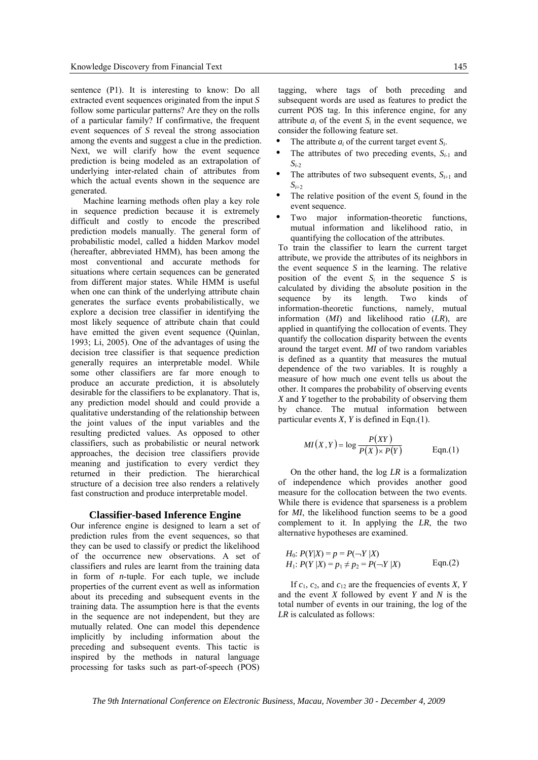sentence (P1). It is interesting to know: Do all extracted event sequences originated from the input *S* follow some particular patterns? Are they on the rolls of a particular family? If confirmative, the frequent event sequences of *S* reveal the strong association among the events and suggest a clue in the prediction. Next, we will clarify how the event sequence prediction is being modeled as an extrapolation of underlying inter-related chain of attributes from which the actual events shown in the sequence are generated.

Machine learning methods often play a key role in sequence prediction because it is extremely difficult and costly to encode the prescribed prediction models manually. The general form of probabilistic model, called a hidden Markov model (hereafter, abbreviated HMM), has been among the most conventional and accurate methods for situations where certain sequences can be generated from different major states. While HMM is useful when one can think of the underlying attribute chain generates the surface events probabilistically, we explore a decision tree classifier in identifying the most likely sequence of attribute chain that could have emitted the given event sequence (Quinlan, 1993; Li, 2005). One of the advantages of using the decision tree classifier is that sequence prediction generally requires an interpretable model. While some other classifiers are far more enough to produce an accurate prediction, it is absolutely desirable for the classifiers to be explanatory. That is, any prediction model should and could provide a qualitative understanding of the relationship between the joint values of the input variables and the resulting predicted values. As opposed to other classifiers, such as probabilistic or neural network approaches, the decision tree classifiers provide meaning and justification to every verdict they returned in their prediction. The hierarchical structure of a decision tree also renders a relatively fast construction and produce interpretable model.

#### **Classifier-based Inference Engine**

Our inference engine is designed to learn a set of prediction rules from the event sequences, so that they can be used to classify or predict the likelihood of the occurrence new observations. A set of classifiers and rules are learnt from the training data in form of *n*-tuple. For each tuple, we include properties of the current event as well as information about its preceding and subsequent events in the training data. The assumption here is that the events in the sequence are not independent, but they are mutually related. One can model this dependence implicitly by including information about the preceding and subsequent events. This tactic is inspired by the methods in natural language processing for tasks such as part-of-speech (POS)

tagging, where tags of both preceding and subsequent words are used as features to predict the current POS tag. In this inference engine, for any attribute  $a_i$  of the event  $S_i$  in the event sequence, we consider the following feature set.

- The attribute  $a_i$  of the current target event  $S_i$ .
- The attributes of two preceding events,  $S_{i-1}$  and  $S_{i-2}$
- The attributes of two subsequent events,  $S_{i+1}$  and  $S_{i+2}$
- The relative position of the event  $S_i$  found in the event sequence.
- Two major information-theoretic functions, mutual information and likelihood ratio, in quantifying the collocation of the attributes.

To train the classifier to learn the current target attribute, we provide the attributes of its neighbors in the event sequence *S* in the learning. The relative position of the event  $S_i$  in the sequence *S* is calculated by dividing the absolute position in the sequence by its length. Two kinds of information-theoretic functions, namely, mutual information (*MI*) and likelihood ratio (*LR*), are applied in quantifying the collocation of events. They quantify the collocation disparity between the events around the target event. *MI* of two random variables is defined as a quantity that measures the mutual dependence of the two variables. It is roughly a measure of how much one event tells us about the other. It compares the probability of observing events *X* and *Y* together to the probability of observing them by chance. The mutual information between particular events *X*, *Y* is defined in Eqn.(1).

$$
MI(X, Y) = \log \frac{P(XY)}{P(X) \times P(Y)} \qquad \text{Eqn.(1)}
$$

On the other hand, the log *LR* is a formalization of independence which provides another good measure for the collocation between the two events. While there is evidence that sparseness is a problem for *MI*, the likelihood function seems to be a good complement to it. In applying the *LR*, the two alternative hypotheses are examined.

*H*<sub>0</sub>: 
$$
P(Y|X) = p = P(\neg Y|X)
$$
  
\n*H*<sub>1</sub>:  $P(Y|X) = p_1 \neq p_2 = P(\neg Y|X)$  Eqn.(2)

If  $c_1$ ,  $c_2$ , and  $c_{12}$  are the frequencies of events *X*, *Y* and the event *X* followed by event *Y* and *N* is the total number of events in our training, the log of the *LR* is calculated as follows: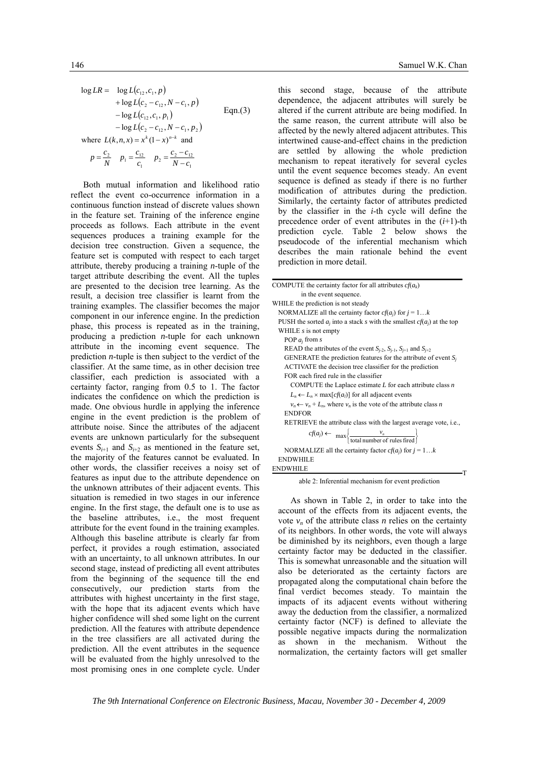$$
\log LR = \log L(c_{12}, c_1, p) \n+ \log L(c_2 - c_{12}, N - c_1, p) \n- \log L(c_{12}, c_1, p_1) \qquad \text{Eqn. (3)}
$$
\n
$$
- \log L(c_2 - c_{12}, N - c_1, p_2) \n\text{where } L(k, n, x) = x^k (1 - x)^{n-k} \text{ and }
$$
\n
$$
p = \frac{c_2}{N} \quad p_1 = \frac{c_{12}}{c_1} \quad p_2 = \frac{c_2 - c_{12}}{N - c_1}
$$

Both mutual information and likelihood ratio reflect the event co-occurrence information in a continuous function instead of discrete values shown in the feature set. Training of the inference engine proceeds as follows. Each attribute in the event sequences produces a training example for the decision tree construction. Given a sequence, the feature set is computed with respect to each target attribute, thereby producing a training *n*-tuple of the target attribute describing the event. All the tuples are presented to the decision tree learning. As the result, a decision tree classifier is learnt from the training examples. The classifier becomes the major component in our inference engine. In the prediction phase, this process is repeated as in the training, producing a prediction *n*-tuple for each unknown attribute in the incoming event sequence. The prediction *n*-tuple is then subject to the verdict of the classifier. At the same time, as in other decision tree classifier, each prediction is associated with a certainty factor, ranging from 0.5 to 1. The factor indicates the confidence on which the prediction is made. One obvious hurdle in applying the inference engine in the event prediction is the problem of attribute noise. Since the attributes of the adjacent events are unknown particularly for the subsequent events  $S_{i+1}$  and  $S_{i+2}$  as mentioned in the feature set, the majority of the features cannot be evaluated. In other words, the classifier receives a noisy set of features as input due to the attribute dependence on the unknown attributes of their adjacent events. This situation is remedied in two stages in our inference engine. In the first stage, the default one is to use as the baseline attributes, i.e., the most frequent attribute for the event found in the training examples. Although this baseline attribute is clearly far from perfect, it provides a rough estimation, associated with an uncertainty, to all unknown attributes. In our second stage, instead of predicting all event attributes from the beginning of the sequence till the end consecutively, our prediction starts from the attributes with highest uncertainty in the first stage, with the hope that its adjacent events which have higher confidence will shed some light on the current prediction. All the features with attribute dependence in the tree classifiers are all activated during the prediction. All the event attributes in the sequence will be evaluated from the highly unresolved to the most promising ones in one complete cycle. Under

this second stage, because of the attribute dependence, the adjacent attributes will surely be altered if the current attribute are being modified. In the same reason, the current attribute will also be affected by the newly altered adjacent attributes. This intertwined cause-and-effect chains in the prediction are settled by allowing the whole prediction mechanism to repeat iteratively for several cycles until the event sequence becomes steady. An event sequence is defined as steady if there is no further modification of attributes during the prediction. Similarly, the certainty factor of attributes predicted by the classifier in the *i*-th cycle will define the precedence order of event attributes in the  $(i+1)$ -th prediction cycle. Table 2 below shows the pseudocode of the inferential mechanism which describes the main rationale behind the event prediction in more detail.

| COMPUTE the certainty factor for all attributes $c f(a_k)$                                |  |  |  |  |  |
|-------------------------------------------------------------------------------------------|--|--|--|--|--|
| in the event sequence.                                                                    |  |  |  |  |  |
| WHILE the prediction is not steady                                                        |  |  |  |  |  |
| NORMALIZE all the certainty factor $cf(a_i)$ for $j = 1k$                                 |  |  |  |  |  |
| PUSH the sorted $a_i$ into a stack s with the smallest $cf(a_i)$ at the top               |  |  |  |  |  |
| WHILE $s$ is not empty                                                                    |  |  |  |  |  |
| POP $a_i$ from s                                                                          |  |  |  |  |  |
| READ the attributes of the event $S_{i-2}$ , $S_{i-1}$ , $S_{i+1}$ and $S_{i+2}$          |  |  |  |  |  |
| GENERATE the prediction features for the attribute of event $S_i$                         |  |  |  |  |  |
| ACTIVATE the decision tree classifier for the prediction                                  |  |  |  |  |  |
| FOR each fired rule in the classifier                                                     |  |  |  |  |  |
| COMPUTE the Laplace estimate $L$ for each attribute class $n$                             |  |  |  |  |  |
| $L_n \leftarrow L_n \times \max[cf(a_i)]$ for all adjacent events                         |  |  |  |  |  |
| $v_n \leftarrow v_n + L_n$ , where $v_n$ is the vote of the attribute class n             |  |  |  |  |  |
| <b>ENDFOR</b>                                                                             |  |  |  |  |  |
| RETRIEVE the attribute class with the largest average vote, i.e.,                         |  |  |  |  |  |
| $cf(a_j) \leftarrow \max \left\{ \frac{v_n}{\text{total number of rules fired}} \right\}$ |  |  |  |  |  |
| NORMALIZE all the certainty factor $cf(a_i)$ for $j = 1k$                                 |  |  |  |  |  |
| <b>ENDWHILE</b>                                                                           |  |  |  |  |  |
| <b>ENDWHILE</b>                                                                           |  |  |  |  |  |

able 2: Inferential mechanism for event prediction

T

As shown in Table 2, in order to take into the account of the effects from its adjacent events, the vote  $v_n$  of the attribute class *n* relies on the certainty of its neighbors. In other words, the vote will always be diminished by its neighbors, even though a large certainty factor may be deducted in the classifier. This is somewhat unreasonable and the situation will also be deteriorated as the certainty factors are propagated along the computational chain before the final verdict becomes steady. To maintain the impacts of its adjacent events without withering away the deduction from the classifier, a normalized certainty factor (NCF) is defined to alleviate the possible negative impacts during the normalization as shown in the mechanism. Without the normalization, the certainty factors will get smaller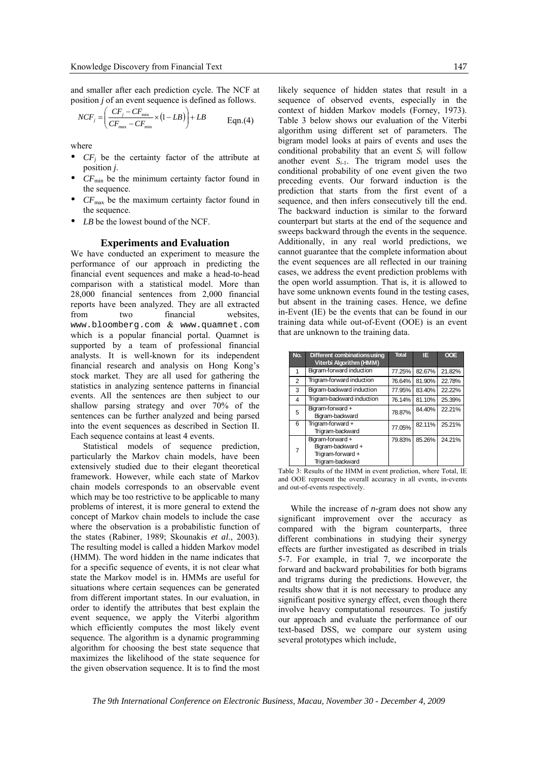and smaller after each prediction cycle. The NCF at position *j* of an event sequence is defined as follows.

$$
NCF_j = \left(\frac{CF_j - CF_{\min}}{CF_{\max} - CF_{\min}} \times (1 - LB)\right) + LB
$$
 Eqn.(4)

where

- $\bullet$  *CF<sub>i</sub>* be the certainty factor of the attribute at position *j*.
- $CF_{\text{min}}$  be the minimum certainty factor found in the sequence.
- $CF<sub>max</sub>$  be the maximum certainty factor found in the sequence.
- *LB* be the lowest bound of the NCF.

#### **Experiments and Evaluation**

We have conducted an experiment to measure the performance of our approach in predicting the financial event sequences and make a head-to-head comparison with a statistical model. More than 28,000 financial sentences from 2,000 financial reports have been analyzed. They are all extracted from two financial websites, www.bloomberg.com & www.quamnet.com which is a popular financial portal. Quamnet is supported by a team of professional financial analysts. It is well-known for its independent financial research and analysis on Hong Kong's stock market. They are all used for gathering the statistics in analyzing sentence patterns in financial events. All the sentences are then subject to our shallow parsing strategy and over 70% of the sentences can be further analyzed and being parsed into the event sequences as described in Section II. Each sequence contains at least 4 events.

Statistical models of sequence prediction, particularly the Markov chain models, have been extensively studied due to their elegant theoretical framework. However, while each state of Markov chain models corresponds to an observable event which may be too restrictive to be applicable to many problems of interest, it is more general to extend the concept of Markov chain models to include the case where the observation is a probabilistic function of the states (Rabiner, 1989; Skounakis *et al*., 2003). The resulting model is called a hidden Markov model (HMM). The word hidden in the name indicates that for a specific sequence of events, it is not clear what state the Markov model is in. HMMs are useful for situations where certain sequences can be generated from different important states. In our evaluation, in order to identify the attributes that best explain the event sequence, we apply the Viterbi algorithm which efficiently computes the most likely event sequence. The algorithm is a dynamic programming algorithm for choosing the best state sequence that maximizes the likelihood of the state sequence for the given observation sequence. It is to find the most

likely sequence of hidden states that result in a sequence of observed events, especially in the context of hidden Markov models (Forney, 1973). Table 3 below shows our evaluation of the Viterbi algorithm using different set of parameters. The bigram model looks at pairs of events and uses the conditional probability that an event  $S_i$  will follow another event  $S_{i-1}$ . The trigram model uses the conditional probability of one event given the two preceding events. Our forward induction is the prediction that starts from the first event of a sequence, and then infers consecutively till the end. The backward induction is similar to the forward counterpart but starts at the end of the sequence and sweeps backward through the events in the sequence. Additionally, in any real world predictions, we cannot guarantee that the complete information about the event sequences are all reflected in our training cases, we address the event prediction problems with the open world assumption. That is, it is allowed to have some unknown events found in the testing cases, but absent in the training cases. Hence, we define in-Event (IE) be the events that can be found in our training data while out-of-Event (OOE) is an event that are unknown to the training data.

| No.            | Different combinations using<br>Viterbi Algorithm (HMM)                       | <b>Total</b> | IE.    | <b>OOE</b> |
|----------------|-------------------------------------------------------------------------------|--------------|--------|------------|
| 1              | Bigram-forward induction                                                      | 77.25%       | 82.67% | 21.82%     |
| $\overline{2}$ | Trigram-forward induction                                                     | 76.64%       | 81.90% | 22.78%     |
| 3              | Bigram-backward induction                                                     | 77.95%       | 83.40% | 22.22%     |
| 4              | Trigram-backward induction                                                    | 76.14%       | 81.10% | 25.39%     |
| 5              | Bigram-forward +<br>Bigram-backward                                           | 78.87%       | 84.40% | 22.21%     |
| 6              | Trigram-forward+<br>Trigram-backward                                          | 77.05%       | 82.11% | 25.21%     |
| $\overline{7}$ | Bigram-forward+<br>Bigram-backward +<br>Trigram-forward +<br>Trigram-backward | 79.83%       | 85.26% | 24.21%     |

Table 3: Results of the HMM in event prediction, where Total, IE and OOE represent the overall accuracy in all events, in-events and out-of-events respectively.

While the increase of *n*-gram does not show any significant improvement over the accuracy as compared with the bigram counterparts, three different combinations in studying their synergy effects are further investigated as described in trials 5-7. For example, in trial 7, we incorporate the forward and backward probabilities for both bigrams and trigrams during the predictions. However, the results show that it is not necessary to produce any significant positive synergy effect, even though there involve heavy computational resources. To justify our approach and evaluate the performance of our text-based DSS, we compare our system using several prototypes which include,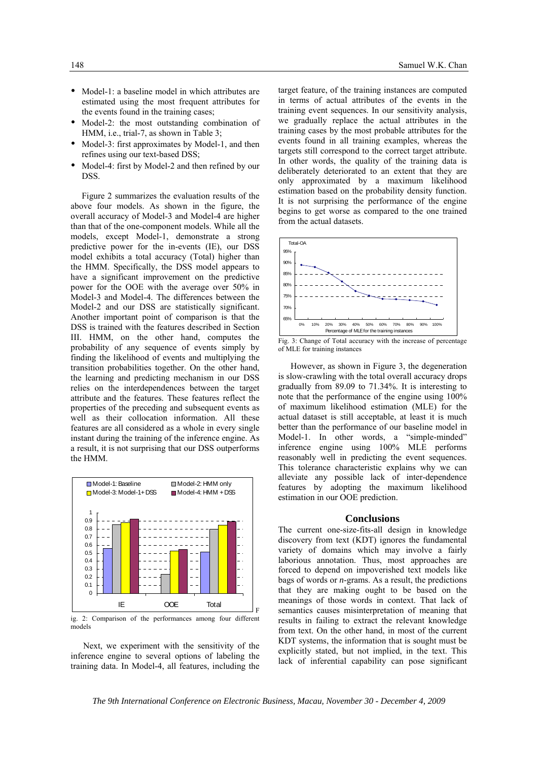- Model-1: a baseline model in which attributes are estimated using the most frequent attributes for the events found in the training cases;
- Model-2: the most outstanding combination of HMM, i.e., trial-7, as shown in Table 3;
- Model-3: first approximates by Model-1, and then refines using our text-based DSS;
- Model-4: first by Model-2 and then refined by our DSS.

Figure 2 summarizes the evaluation results of the above four models. As shown in the figure, the overall accuracy of Model-3 and Model-4 are higher than that of the one-component models. While all the models, except Model-1, demonstrate a strong predictive power for the in-events (IE), our DSS model exhibits a total accuracy (Total) higher than the HMM. Specifically, the DSS model appears to have a significant improvement on the predictive power for the OOE with the average over 50% in Model-3 and Model-4. The differences between the Model-2 and our DSS are statistically significant. Another important point of comparison is that the DSS is trained with the features described in Section III. HMM, on the other hand, computes the probability of any sequence of events simply by finding the likelihood of events and multiplying the transition probabilities together. On the other hand, the learning and predicting mechanism in our DSS relies on the interdependences between the target attribute and the features. These features reflect the properties of the preceding and subsequent events as well as their collocation information. All these features are all considered as a whole in every single instant during the training of the inference engine. As a result, it is not surprising that our DSS outperforms the HMM.



ig. 2: Comparison of the performances among four different models

Next, we experiment with the sensitivity of the inference engine to several options of labeling the training data. In Model-4, all features, including the target feature, of the training instances are computed in terms of actual attributes of the events in the training event sequences. In our sensitivity analysis, we gradually replace the actual attributes in the training cases by the most probable attributes for the events found in all training examples, whereas the targets still correspond to the correct target attribute. In other words, the quality of the training data is deliberately deteriorated to an extent that they are only approximated by a maximum likelihood estimation based on the probability density function. It is not surprising the performance of the engine begins to get worse as compared to the one trained from the actual datasets.





However, as shown in Figure 3, the degeneration is slow-crawling with the total overall accuracy drops gradually from 89.09 to 71.34%. It is interesting to note that the performance of the engine using 100% of maximum likelihood estimation (MLE) for the actual dataset is still acceptable, at least it is much better than the performance of our baseline model in Model-1. In other words, a "simple-minded" inference engine using 100% MLE performs reasonably well in predicting the event sequences. This tolerance characteristic explains why we can alleviate any possible lack of inter-dependence features by adopting the maximum likelihood estimation in our OOE prediction.

#### **Conclusions**

The current one-size-fits-all design in knowledge discovery from text (KDT) ignores the fundamental variety of domains which may involve a fairly laborious annotation. Thus, most approaches are forced to depend on impoverished text models like bags of words or *n*-grams. As a result, the predictions that they are making ought to be based on the meanings of those words in context. That lack of semantics causes misinterpretation of meaning that results in failing to extract the relevant knowledge from text. On the other hand, in most of the current KDT systems, the information that is sought must be explicitly stated, but not implied, in the text. This lack of inferential capability can pose significant